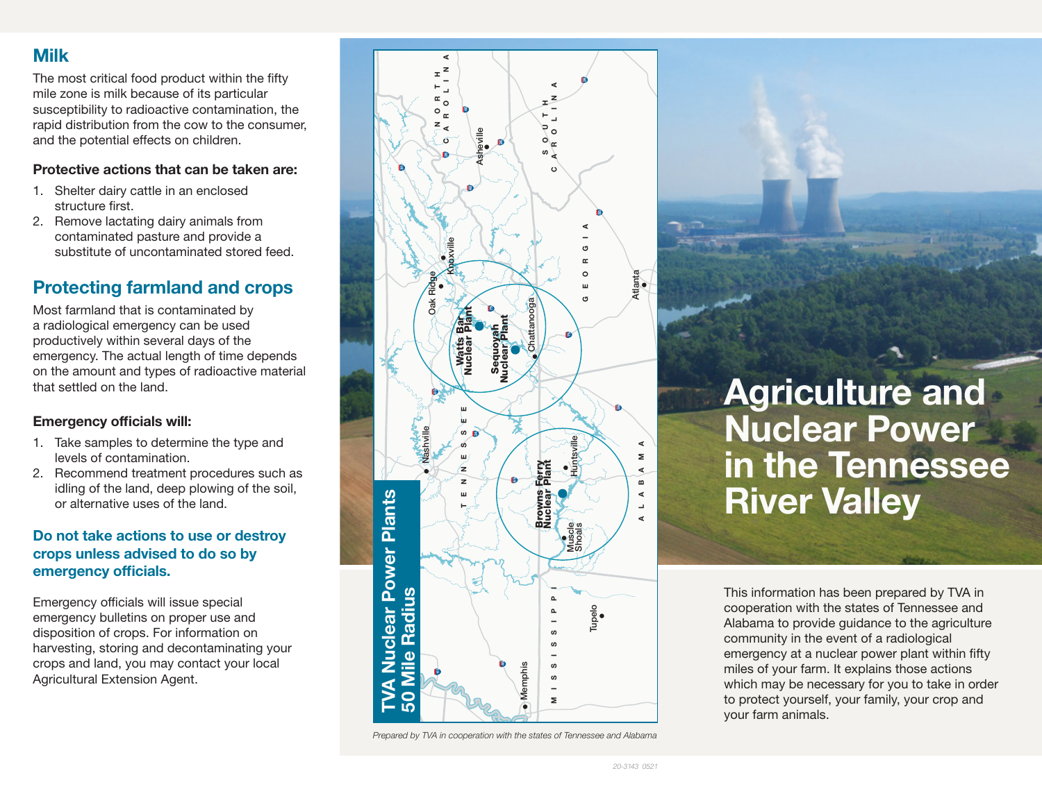## Milk

The most critical food product within the fifty mile zone is milk because of its particular susceptibility to radioactive contamination, the rapid distribution from the cow to the consumer, and the potential effects on children.

#### Protective actions that can be taken are:

- 1. Shelter dairy cattle in an enclosed structure first.
- 2. Remove lactating dairy animals from contaminated pasture and provide a substitute of uncontaminated stored feed.

# Protecting farmland and crops

Most farmland that is contaminated by a radiological emergency can be used productively within several days of the emergency. The actual length of time depends on the amount and types of radioactive material that settled on the land.

### Emergency officials will:

- 1. Take samples to determine the type and levels of contamination.
- 2. Recommend treatment procedures such as idling of the land, deep plowing of the soil, or alternative uses of the land.

### Do not take actions to use or destroy crops unless advised to do so by emergency officials.

Emergency officials will issue special emergency bulletins on proper use and disposition of crops. For information on harvesting, storing and decontaminating your crops and land, you may contact your local Agricultural Extension Agent.



*Prepared by TVA in cooperation with the states of Tennessee and Alabama* **b** 

Agriculture and Nuclear Power **65** in the Tennessee River Valley

This information has been prepared by TVA in cooperation with the states of Tennessee and Alabama to provide guidance to the agriculture community in the event of a radiological emergency at a nuclear power plant within fifty miles of your farm. It explains those actions which may be necessary for you to take in order to protect yourself, your family, your crop and your farm animals.